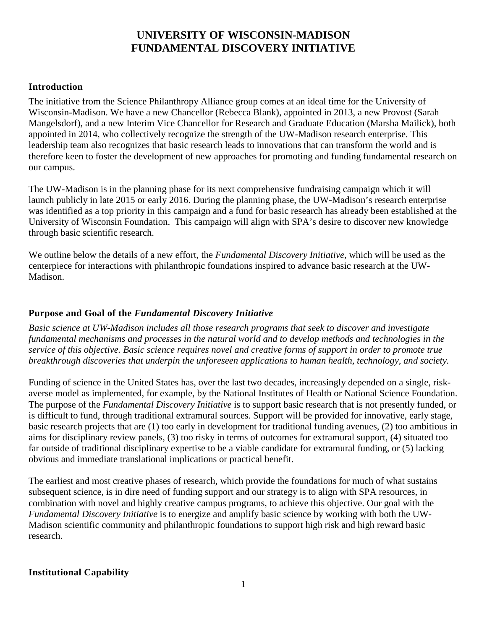# **UNIVERSITY OF WISCONSIN-MADISON FUNDAMENTAL DISCOVERY INITIATIVE**

### **Introduction**

The initiative from the Science Philanthropy Alliance group comes at an ideal time for the University of Wisconsin-Madison. We have a new Chancellor (Rebecca Blank), appointed in 2013, a new Provost (Sarah Mangelsdorf), and a new Interim Vice Chancellor for Research and Graduate Education (Marsha Mailick), both appointed in 2014, who collectively recognize the strength of the UW-Madison research enterprise. This leadership team also recognizes that basic research leads to innovations that can transform the world and is therefore keen to foster the development of new approaches for promoting and funding fundamental research on our campus.

The UW-Madison is in the planning phase for its next comprehensive fundraising campaign which it will launch publicly in late 2015 or early 2016. During the planning phase, the UW-Madison's research enterprise was identified as a top priority in this campaign and a fund for basic research has already been established at the University of Wisconsin Foundation. This campaign will align with SPA's desire to discover new knowledge through basic scientific research.

We outline below the details of a new effort, the *Fundamental Discovery Initiative*, which will be used as the centerpiece for interactions with philanthropic foundations inspired to advance basic research at the UW-Madison.

### **Purpose and Goal of the** *Fundamental Discovery Initiative*

*Basic science at UW-Madison includes all those research programs that seek to discover and investigate fundamental mechanisms and processes in the natural world and to develop methods and technologies in the* service of this objective. Basic science requires novel and creative forms of support in order to promote true *breakthrough discoveries that underpin the unforeseen applications to human health, technology, and society.*

Funding of science in the United States has, over the last two decades, increasingly depended on a single, riskaverse model as implemented, for example, by the National Institutes of Health or National Science Foundation. The purpose of the *Fundamental Discovery Initiative* is to support basic research that is not presently funded, or is difficult to fund, through traditional extramural sources. Support will be provided for innovative, early stage, basic research projects that are (1) too early in development for traditional funding avenues, (2) too ambitious in aims for disciplinary review panels, (3) too risky in terms of outcomes for extramural support, (4) situated too far outside of traditional disciplinary expertise to be a viable candidate for extramural funding, or (5) lacking obvious and immediate translational implications or practical benefit.

The earliest and most creative phases of research, which provide the foundations for much of what sustains subsequent science, is in dire need of funding support and our strategy is to align with SPA resources, in combination with novel and highly creative campus programs, to achieve this objective. Our goal with the *Fundamental Discovery Initiative* is to energize and amplify basic science by working with both the UW-Madison scientific community and philanthropic foundations to support high risk and high reward basic research.

#### **Institutional Capability**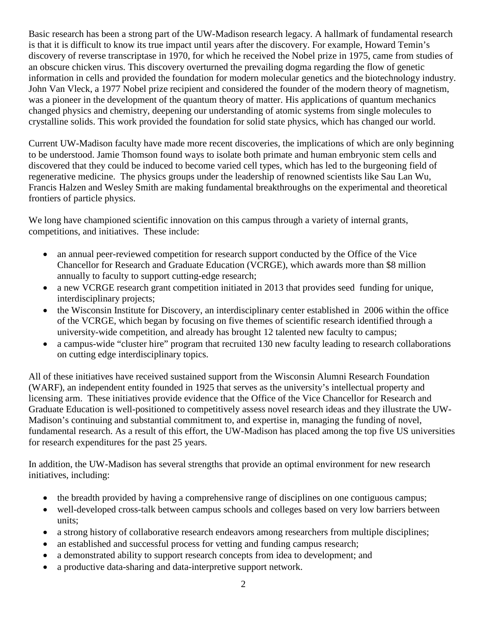Basic research has been a strong part of the UW-Madison research legacy. A hallmark of fundamental research is that it is difficult to know its true impact until years after the discovery. For example, Howard Temin's discovery of reverse transcriptase in 1970, for which he received the Nobel prize in 1975, came from studies of an obscure chicken virus. This discovery overturned the prevailing dogma regarding the flow of genetic information in cells and provided the foundation for modern molecular genetics and the biotechnology industry. John Van Vleck, a 1977 Nobel prize recipient and considered the founder of the modern theory of magnetism, was a pioneer in the development of the quantum theory of matter. His applications of quantum mechanics changed physics and chemistry, deepening our understanding of atomic systems from single molecules to crystalline solids. This work provided the foundation for solid state physics, which has changed our world.

Current UW-Madison faculty have made more recent discoveries, the implications of which are only beginning to be understood. Jamie Thomson found ways to isolate both primate and human embryonic stem cells and discovered that they could be induced to become varied cell types, which has led to the burgeoning field of regenerative medicine. The physics groups under the leadership of renowned scientists like Sau Lan Wu, Francis Halzen and Wesley Smith are making fundamental breakthroughs on the experimental and theoretical frontiers of particle physics.

We long have championed scientific innovation on this campus through a variety of internal grants, competitions, and initiatives. These include:

- an annual peer-reviewed competition for research support conducted by the Office of the Vice Chancellor for Research and Graduate Education (VCRGE), which awards more than \$8 million annually to faculty to support cutting-edge research;
- a new VCRGE research grant competition initiated in 2013 that provides seed funding for unique, interdisciplinary projects;
- the Wisconsin Institute for Discovery, an interdisciplinary center established in 2006 within the office of the VCRGE, which began by focusing on five themes of scientific research identified through a university-wide competition, and already has brought 12 talented new faculty to campus;
- a campus-wide "cluster hire" program that recruited 130 new faculty leading to research collaborations on cutting edge interdisciplinary topics.

All of these initiatives have received sustained support from the Wisconsin Alumni Research Foundation (WARF), an independent entity founded in 1925 that serves as the university's intellectual property and licensing arm. These initiatives provide evidence that the Office of the Vice Chancellor for Research and Graduate Education is well-positioned to competitively assess novel research ideas and they illustrate the UW-Madison's continuing and substantial commitment to, and expertise in, managing the funding of novel, fundamental research. As a result of this effort, the UW-Madison has placed among the top five US universities for research expenditures for the past 25 years.

In addition, the UW-Madison has several strengths that provide an optimal environment for new research initiatives, including:

- the breadth provided by having a comprehensive range of disciplines on one contiguous campus;
- well-developed cross-talk between campus schools and colleges based on very low barriers between units;
- a strong history of collaborative research endeavors among researchers from multiple disciplines;
- an established and successful process for vetting and funding campus research;
- a demonstrated ability to support research concepts from idea to development; and
- a productive data-sharing and data-interpretive support network.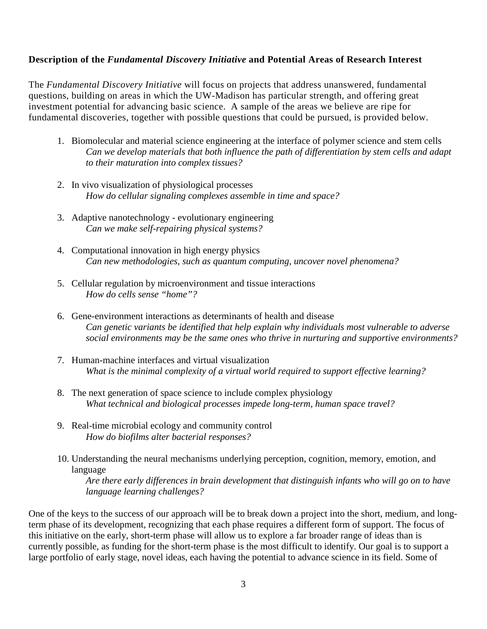#### **Description of the** *Fundamental Discovery Initiative* **and Potential Areas of Research Interest**

The *Fundamental Discovery Initiative* will focus on projects that address unanswered, fundamental questions, building on areas in which the UW-Madison has particular strength, and offering great investment potential for advancing basic science. A sample of the areas we believe are ripe for fundamental discoveries, together with possible questions that could be pursued, is provided below.

- 1. Biomolecular and material science engineering at the interface of polymer science and stem cells *Can we develop materials that both influence the path of differentiation by stem cells and adapt to their maturation into complex tissues?*
- 2. In vivo visualization of physiological processes *How do cellular signaling complexes assemble in time and space?*
- 3. Adaptive nanotechnology evolutionary engineering *Can we make self-repairing physical systems?*
- 4. Computational innovation in high energy physics *Can new methodologies, such as quantum computing, uncover novel phenomena?*
- 5. Cellular regulation by microenvironment and tissue interactions *How do cells sense "home"?*
- 6. Gene-environment interactions as determinants of health and disease *Can genetic variants be identified that help explain why individuals most vulnerable to adverse social environments may be the same ones who thrive in nurturing and supportive environments?*
- 7. Human-machine interfaces and virtual visualization *What is the minimal complexity of a virtual world required to support effective learning?*
- 8. The next generation of space science to include complex physiology *What technical and biological processes impede long-term, human space travel?*
- 9. Real-time microbial ecology and community control *How do biofilms alter bacterial responses?*
- 10. Understanding the neural mechanisms underlying perception, cognition, memory, emotion, and language

*Are there early differences in brain development that distinguish infants who will go on to have language learning challenges?*

One of the keys to the success of our approach will be to break down a project into the short, medium, and longterm phase of its development, recognizing that each phase requires a different form of support. The focus of this initiative on the early, short-term phase will allow us to explore a far broader range of ideas than is currently possible, as funding for the short-term phase is the most difficult to identify. Our goal is to support a large portfolio of early stage, novel ideas, each having the potential to advance science in its field. Some of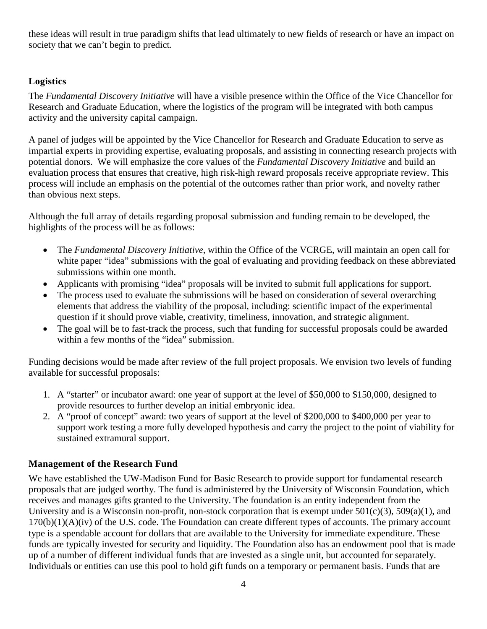these ideas will result in true paradigm shifts that lead ultimately to new fields of research or have an impact on society that we can't begin to predict.

## **Logistics**

The *Fundamental Discovery Initiative* will have a visible presence within the Office of the Vice Chancellor for Research and Graduate Education, where the logistics of the program will be integrated with both campus activity and the university capital campaign.

A panel of judges will be appointed by the Vice Chancellor for Research and Graduate Education to serve as impartial experts in providing expertise, evaluating proposals, and assisting in connecting research projects with potential donors. We will emphasize the core values of the *Fundamental Discovery Initiative* and build an evaluation process that ensures that creative, high risk-high reward proposals receive appropriate review. This process will include an emphasis on the potential of the outcomes rather than prior work, and novelty rather than obvious next steps.

Although the full array of details regarding proposal submission and funding remain to be developed, the highlights of the process will be as follows:

- The *Fundamental Discovery Initiative*, within the Office of the VCRGE, will maintain an open call for white paper "idea" submissions with the goal of evaluating and providing feedback on these abbreviated submissions within one month.
- Applicants with promising "idea" proposals will be invited to submit full applications for support.
- The process used to evaluate the submissions will be based on consideration of several overarching elements that address the viability of the proposal, including: scientific impact of the experimental question if it should prove viable, creativity, timeliness, innovation, and strategic alignment.
- The goal will be to fast-track the process, such that funding for successful proposals could be awarded within a few months of the "idea" submission.

Funding decisions would be made after review of the full project proposals. We envision two levels of funding available for successful proposals:

- 1. A "starter" or incubator award: one year of support at the level of \$50,000 to \$150,000, designed to provide resources to further develop an initial embryonic idea.
- 2. A "proof of concept" award: two years of support at the level of \$200,000 to \$400,000 per year to support work testing a more fully developed hypothesis and carry the project to the point of viability for sustained extramural support.

# **Management of the Research Fund**

We have established the UW-Madison Fund for Basic Research to provide support for fundamental research proposals that are judged worthy. The fund is administered by the University of Wisconsin Foundation, which receives and manages gifts granted to the University. The foundation is an entity independent from the University and is a Wisconsin non-profit, non-stock corporation that is exempt under 501(c)(3), 509(a)(1), and  $170(b)(1)(A)(iv)$  of the U.S. code. The Foundation can create different types of accounts. The primary account type is a spendable account for dollars that are available to the University for immediate expenditure. These funds are typically invested for security and liquidity. The Foundation also has an endowment pool that is made up of a number of different individual funds that are invested as a single unit, but accounted for separately. Individuals or entities can use this pool to hold gift funds on a temporary or permanent basis. Funds that are